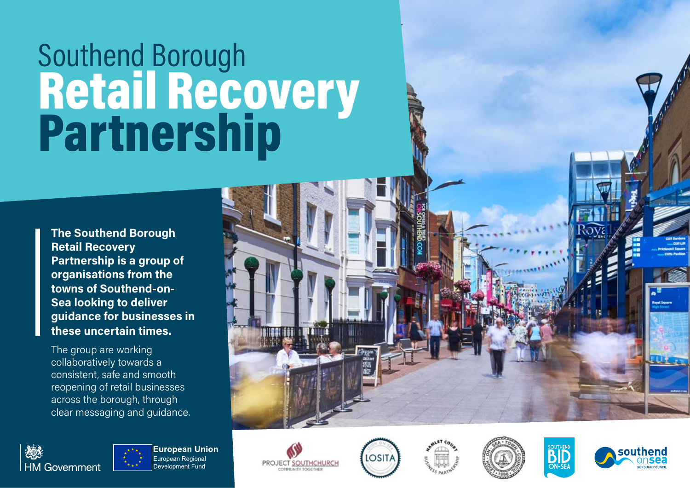## Southend Borough Retail Recovery Partnership

**The Southend Borough Retail Recovery Partnership is a group of organisations from the towns of Southend-on-Sea looking to deliver guidance for businesses in these uncertain times.** 

The group are working collaboratively towards a consistent, safe and smooth reopening of retail businesses across the borough, through clear messaging and guidance.



**European Union** European Regional Development Fund













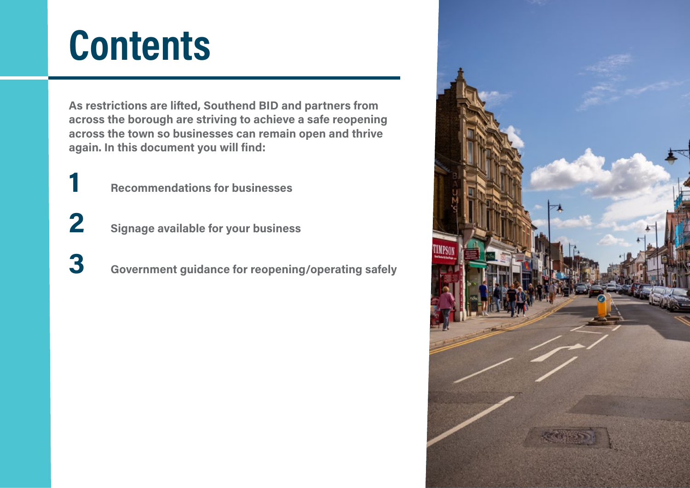## **Contents**

**As restrictions are lifted, Southend BID and partners from across the borough are striving to achieve a safe reopening across the town so businesses can remain open and thrive again. In this document you will find:**

- **1 Recommendations for businesses**
- **2 Signage available for your business**
- **3 Government guidance for reopening/operating safely**

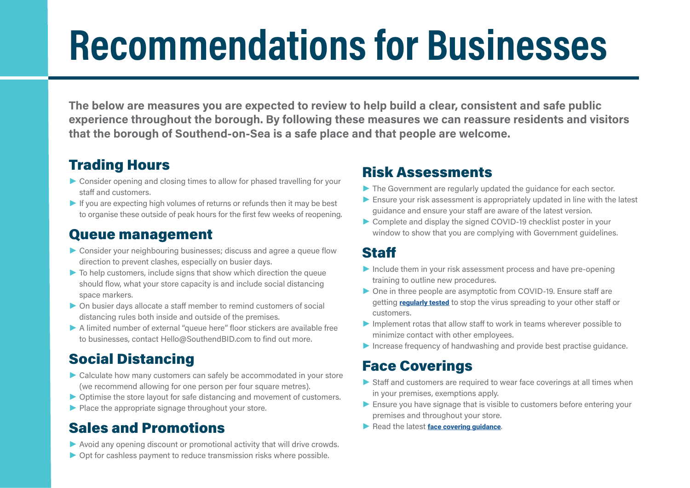## **Recommendations for Businesses**

**The below are measures you are expected to review to help build a clear, consistent and safe public experience throughout the borough. By following these measures we can reassure residents and visitors that the borough of Southend-on-Sea is a safe place and that people are welcome.**

#### Trading Hours

- **►** Consider opening and closing times to allow for phased travelling for your staff and customers.
- **►** If you are expecting high volumes of returns or refunds then it may be best to organise these outside of peak hours for the first few weeks of reopening.

#### Queue management

- **►** Consider your neighbouring businesses; discuss and agree a queue flow direction to prevent clashes, especially on busier days.
- **►** To help customers, include signs that show which direction the queue should flow, what your store capacity is and include social distancing space markers.
- **►** On busier days allocate a staff member to remind customers of social distancing rules both inside and outside of the premises.
- **►** A limited number of external "queue here" floor stickers are available free to businesses, contact Hello@SouthendBID.com to find out more.

#### Social Distancing

- **►** Calculate how many customers can safely be accommodated in your store (we recommend allowing for one person per four square metres).
- **►** Optimise the store layout for safe distancing and movement of customers.
- **►** Place the appropriate signage throughout your store.

#### Sales and Promotions

- **►** Avoid any opening discount or promotional activity that will drive crowds.
- **►** Opt for cashless payment to reduce transmission risks where possible.

#### Risk Assessments

- **►** The Government are regularly updated the guidance for each sector.
- **►** Ensure your risk assessment is appropriately updated in line with the latest guidance and ensure your staff are aware of the latest version.
- **►** Complete and display the signed COVID-19 checklist poster in your window to show that you are complying with Government quidelines.

#### **Staff**

- **►** Include them in your risk assessment process and have pre-opening training to outline new procedures.
- **►** One in three people are asymptotic from COVID-19. Ensure staff are getting [regularly tested](https://www.southend.gov.uk/health-wellbeing/coronavirus/12) to stop the virus spreading to your other staff or customers.
- **►** Implement rotas that allow staff to work in teams wherever possible to minimize contact with other employees.
- **►** Increase frequency of handwashing and provide best practise guidance.

#### Face Coverings

- **►** Staff and customers are required to wear face coverings at all times when in your premises, exemptions apply.
- **►** Ensure you have signage that is visible to customers before entering your premises and throughout your store.
- ▶ Read the latest face covering quidance.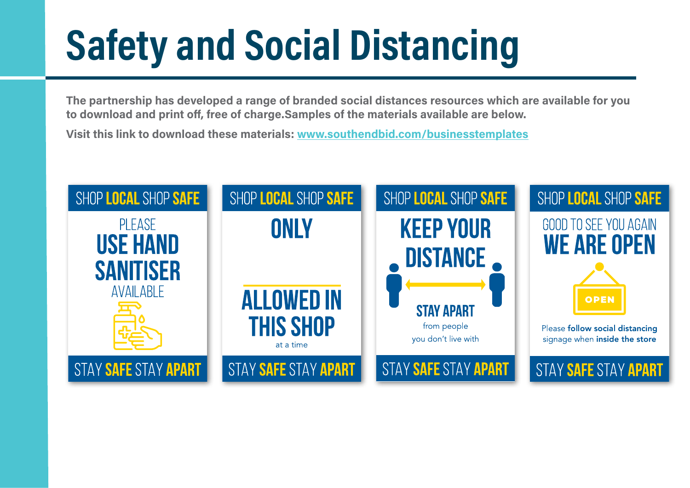# **Safety and Social Distancing**

**The partnership has developed a range of branded social distances resources which are available for you to download and print off, free of charge.Samples of the materials available are below.** 

**Visit this link to download these materials: www.southendbid.com/businesstemplates**